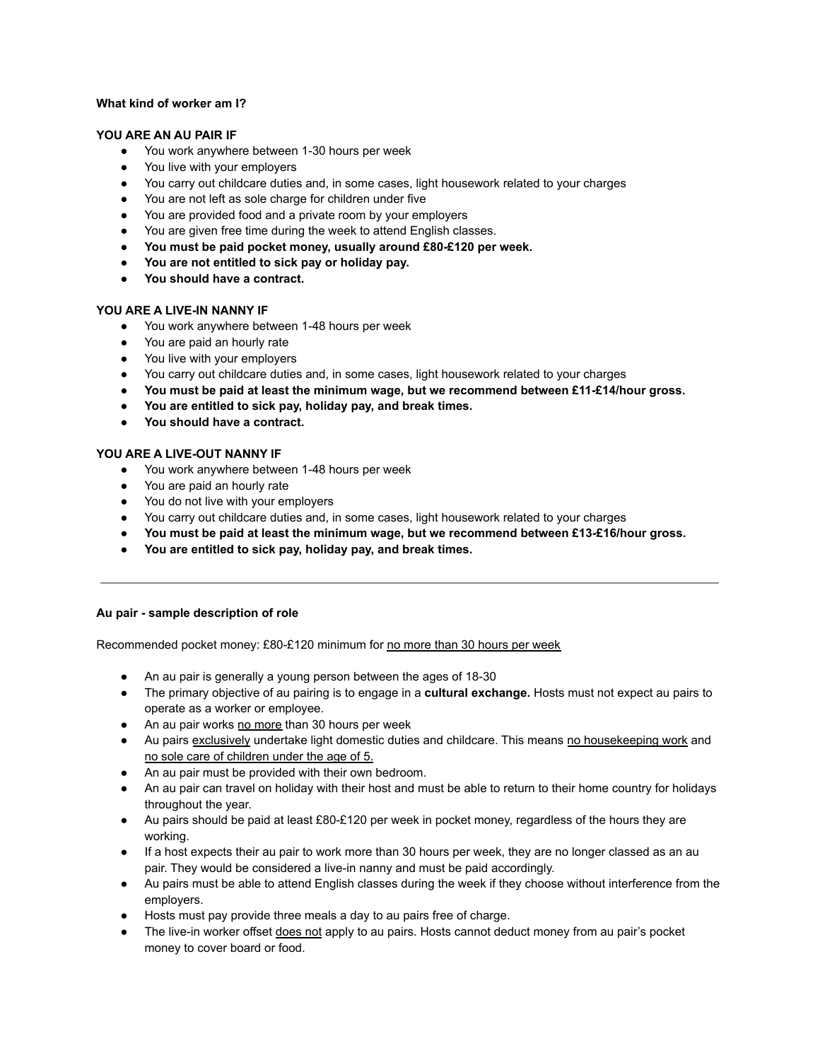# **What kind of worker am I?**

## **YOU ARE AN AU PAIR IF**

- You work anywhere between 1-30 hours per week
- You live with your employers
- You carry out childcare duties and, in some cases, light housework related to your charges
- You are not left as sole charge for children under five
- You are provided food and a private room by your employers
- You are given free time during the week to attend English classes.
- **● You must be paid pocket money, usually around £80-£120 per week.**
- **● You are not entitled to sick pay or holiday pay.**
- **● You should have a contract.**

# **YOU ARE A LIVE-IN NANNY IF**

- You work anywhere between 1-48 hours per week
- You are paid an hourly rate
- You live with your employers
- You carry out childcare duties and, in some cases, light housework related to your charges
- **● You must be paid at least the minimum wage, but we recommend between £11-£14/hour gross.**
- **● You are entitled to sick pay, holiday pay, and break times.**
- **● You should have a contract.**

# **YOU ARE A LIVE-OUT NANNY IF**

- You work anywhere between 1-48 hours per week
- You are paid an hourly rate
- You do not live with your employers
- You carry out childcare duties and, in some cases, light housework related to your charges
- **● You must be paid at least the minimum wage, but we recommend between £13-£16/hour gross.**
- **● You are entitled to sick pay, holiday pay, and break times.**

#### **Au pair - sample description of role**

Recommended pocket money: £80-£120 minimum for no more than 30 hours per week

- An au pair is generally a young person between the ages of 18-30
- The primary objective of au pairing is to engage in a **cultural exchange.** Hosts must not expect au pairs to operate as a worker or employee.
- An au pair works no more than 30 hours per week
- Au pairs exclusively undertake light domestic duties and childcare. This means no housekeeping work and no sole care of children under the age of 5.
- An au pair must be provided with their own bedroom.
- An au pair can travel on holiday with their host and must be able to return to their home country for holidays throughout the year.
- Au pairs should be paid at least £80-£120 per week in pocket money, regardless of the hours they are working.
- If a host expects their au pair to work more than 30 hours per week, they are no longer classed as an au pair. They would be considered a live-in nanny and must be paid accordingly.
- Au pairs must be able to attend English classes during the week if they choose without interference from the employers.
- Hosts must pay provide three meals a day to au pairs free of charge.
- The live-in worker offset does not apply to au pairs. Hosts cannot deduct money from au pair's pocket money to cover board or food.